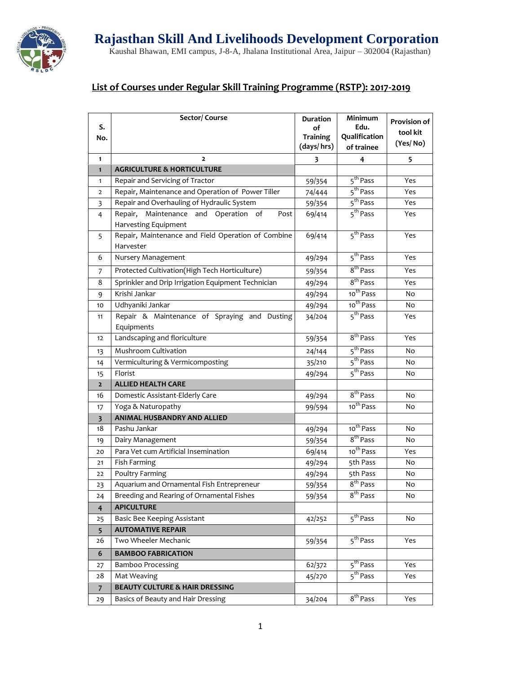

## **List of Courses under Regular Skill Training Programme (RSTP): 2017-2019**

| S.<br>No.      | Sector/Course                                                              | <b>Duration</b><br>οf<br><b>Training</b><br>(days/hrs) | Minimum<br>Edu.<br>Qualification<br>of trainee | <b>Provision of</b><br>tool kit<br>(Yes/No) |
|----------------|----------------------------------------------------------------------------|--------------------------------------------------------|------------------------------------------------|---------------------------------------------|
| 1              | $\overline{2}$                                                             | 3                                                      | 4                                              | 5                                           |
| $\mathbf{1}$   | <b>AGRICULTURE &amp; HORTICULTURE</b>                                      |                                                        |                                                |                                             |
| 1              | Repair and Servicing of Tractor                                            | 59/354                                                 | 5 <sup>th</sup> Pass                           | Yes                                         |
| $\overline{2}$ | Repair, Maintenance and Operation of Power Tiller                          | 74/444                                                 | 5 <sup>th</sup> Pass                           | Yes                                         |
| 3              | Repair and Overhauling of Hydraulic System                                 | 59/354                                                 | 5 <sup>th</sup> Pass                           | Yes                                         |
| 4              | Maintenance<br>and Operation of<br>Repair,<br>Post<br>Harvesting Equipment | 69/414                                                 | 5 <sup>th</sup> Pass                           | Yes                                         |
| 5              | Repair, Maintenance and Field Operation of Combine<br>Harvester            | 69/414                                                 | 5 <sup>th</sup> Pass                           | Yes                                         |
| 6              | Nursery Management                                                         | 49/294                                                 | 5 <sup>th</sup> Pass                           | Yes                                         |
| 7              | Protected Cultivation(High Tech Horticulture)                              | 59/354                                                 | 8 <sup>th</sup> Pass                           | Yes                                         |
| 8              | Sprinkler and Drip Irrigation Equipment Technician                         | 49/294                                                 | 8 <sup>th</sup> Pass                           | Yes                                         |
| 9              | Krishi Jankar                                                              | 49/294                                                 | 10 <sup>th</sup> Pass                          | No                                          |
| 10             | Udhyaniki Jankar                                                           | 49/294                                                 | 10 <sup>th</sup> Pass                          | No                                          |
| 11             | Repair & Maintenance of Spraying and Dusting                               | 34/204                                                 | 5 <sup>th</sup> Pass                           | Yes                                         |
|                | Equipments                                                                 |                                                        |                                                |                                             |
| 12             | Landscaping and floriculture                                               | 59/354                                                 | 8 <sup>th</sup> Pass                           | Yes                                         |
| 13             | Mushroom Cultivation                                                       | 24/144                                                 | 5 <sup>th</sup> Pass                           | No                                          |
| 14             | Vermiculturing & Vermicomposting                                           | 35/210                                                 | 5 <sup>th</sup> Pass                           | No                                          |
| 15             | Florist                                                                    | 49/294                                                 | 5 <sup>th</sup> Pass                           | No                                          |
| $\mathbf{2}$   | <b>ALLIED HEALTH CARE</b>                                                  |                                                        |                                                |                                             |
| 16             | Domestic Assistant-Elderly Care                                            | 49/294                                                 | 8 <sup>th</sup> Pass                           | No                                          |
| 17             | Yoga & Naturopathy                                                         | 99/594                                                 | 10 <sup>th</sup> Pass                          | No                                          |
| 3              | <b>ANIMAL HUSBANDRY AND ALLIED</b>                                         |                                                        |                                                |                                             |
| 18             | Pashu Jankar                                                               | 49/294                                                 | 10 <sup>th</sup> Pass                          | No                                          |
| 19             | Dairy Management                                                           | 59/354                                                 | 8 <sup>th</sup> Pass                           | No                                          |
| 20             | Para Vet cum Artificial Insemination                                       | 69/414                                                 | 10 <sup>th</sup> Pass                          | Yes                                         |
| 21             | Fish Farming                                                               | 49/294                                                 | 5th Pass                                       | No                                          |
| 22             | Poultry Farming                                                            | 49/294                                                 | 5th Pass                                       | No                                          |
| 23             | Aquarium and Ornamental Fish Entrepreneur                                  | 59/354                                                 | 8 <sup>th</sup> Pass                           | No                                          |
| 24             | Breeding and Rearing of Ornamental Fishes                                  | 59/354                                                 | 8" Pass                                        | No                                          |
| $\overline{4}$ | <b>APICULTURE</b>                                                          |                                                        |                                                |                                             |
| 25             | Basic Bee Keeping Assistant                                                | 42/252                                                 | 5 <sup>th</sup> Pass                           | No                                          |
| 5 <sup>5</sup> | <b>AUTOMATIVE REPAIR</b>                                                   |                                                        |                                                |                                             |
| 26             | Two Wheeler Mechanic                                                       | 59/354                                                 | 5 <sup>th</sup> Pass                           | Yes                                         |
| 6              | <b>BAMBOO FABRICATION</b>                                                  |                                                        |                                                |                                             |
| 27             | <b>Bamboo Processing</b>                                                   | 62/372                                                 | 5 <sup>th</sup> Pass                           | Yes                                         |
| 28             | Mat Weaving                                                                | 45/270                                                 | 5 <sup>th</sup> Pass                           | Yes                                         |
| $\overline{7}$ | <b>BEAUTY CULTURE &amp; HAIR DRESSING</b>                                  |                                                        |                                                |                                             |
| 29             | Basics of Beauty and Hair Dressing                                         | 34/204                                                 | $\overline{8^{th}}$ Pass                       | Yes                                         |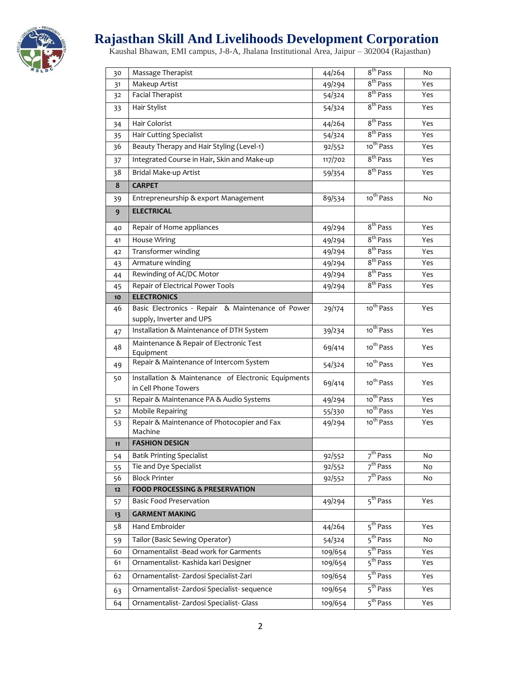

## **Rajasthan Skill And Livelihoods Development Corporation**

Kaushal Bhawan, EMI campus, J-8-A, Jhalana Institutional Area, Jaipur – 302004 (Rajasthan)

| 30       | Massage Therapist                                                             | 44/264           | 8 <sup>th</sup> Pass            | No       |
|----------|-------------------------------------------------------------------------------|------------------|---------------------------------|----------|
| 31       | Makeup Artist                                                                 | 49/294           | 8 <sup>th</sup> Pass            | Yes      |
| 32       | <b>Facial Therapist</b>                                                       | 54/324           | 8 <sup>th</sup> Pass            | Yes      |
| 33       | Hair Stylist                                                                  | 54/324           | 8 <sup>th</sup> Pass            | Yes      |
| 34       | Hair Colorist                                                                 | 44/264           | 8 <sup>th</sup> Pass            | Yes      |
| 35       | Hair Cutting Specialist                                                       | 54/324           | 8 <sup>th</sup> Pass            | Yes      |
| 36       | Beauty Therapy and Hair Styling (Level-1)                                     | 92/552           | 10 <sup>th</sup> Pass           | Yes      |
| 37       | Integrated Course in Hair, Skin and Make-up                                   | 117/702          | 8 <sup>th</sup> Pass            | Yes      |
| 38       | Bridal Make-up Artist                                                         | 59/354           | 8 <sup>th</sup> Pass            | Yes      |
| 8        | <b>CARPET</b>                                                                 |                  |                                 |          |
| 39       | Entrepreneurship & export Management                                          | 89/534           | 10 <sup>th</sup> Pass           | No       |
| 9        | <b>ELECTRICAL</b>                                                             |                  |                                 |          |
| 40       | Repair of Home appliances                                                     | 49/294           | 8 <sup>th</sup> Pass            | Yes      |
| 41       | <b>House Wiring</b>                                                           | 49/294           | 8 <sup>th</sup> Pass            | Yes      |
| 42       | Transformer winding                                                           | 49/294           | 8 <sup>th</sup> Pass            | Yes      |
| 43       | Armature winding                                                              | 49/294           | 8 <sup>th</sup> Pass            | Yes      |
| 44       | Rewinding of AC/DC Motor                                                      | 49/294           | 8 <sup>th</sup> Pass            | Yes      |
| 45       | Repair of Electrical Power Tools                                              | 49/294           | 8 <sup>th</sup> Pass            | Yes      |
| 10       | <b>ELECTRONICS</b>                                                            |                  |                                 |          |
| 46       | Basic Electronics - Repair & Maintenance of Power<br>supply, Inverter and UPS | 29/174           | 10 <sup>th</sup> Pass           | Yes      |
| 47       | Installation & Maintenance of DTH System                                      | 39/234           | 10 <sup>th</sup> Pass           | Yes      |
| 48       | Maintenance & Repair of Electronic Test<br>Equipment                          | 69/414           | 10 <sup>th</sup> Pass           | Yes      |
| 49       | Repair & Maintenance of Intercom System                                       | 54/324           | 10 <sup>th</sup> Pass           | Yes      |
| 50       | Installation & Maintenance of Electronic Equipments                           |                  | 10 <sup>th</sup> Pass           |          |
|          | in Cell Phone Towers                                                          | 69/414           |                                 | Yes      |
| 51       | Repair & Maintenance PA & Audio Systems                                       | 49/294           | 10 <sup>th</sup> Pass           | Yes      |
| 52       | <b>Mobile Repairing</b>                                                       | 55/330           | 10 <sup>th</sup> Pass           | Yes      |
| 53       | Repair & Maintenance of Photocopier and Fax                                   | 49/294           | 10 <sup>th</sup> Pass           | Yes      |
|          | Machine<br><b>FASHION DESIGN</b>                                              |                  |                                 |          |
| 11       | <b>Batik Printing Specialist</b>                                              |                  | 7 <sup>th</sup> Pass            |          |
| 54       | Tie and Dye Specialist                                                        | 92/552<br>92/552 | 7 <sup>th</sup> Pass            | No<br>No |
| 55<br>56 | <b>Block Printer</b>                                                          | 92/552           | 7 <sup>th</sup> Pass            | No       |
| 12       | <b>FOOD PROCESSING &amp; PRESERVATION</b>                                     |                  |                                 |          |
| 57       | <b>Basic Food Preservation</b>                                                | 49/294           | 5 <sup>th</sup> Pass            | Yes      |
| 13       | <b>GARMENT MAKING</b>                                                         |                  |                                 |          |
| 58       | Hand Embroider                                                                | 44/264           | 5 <sup>th</sup> Pass            | Yes      |
| 59       | Tailor (Basic Sewing Operator)                                                | 54/324           | 5 <sup>th</sup> Pass            | No       |
| 60       | Ornamentalist -Bead work for Garments                                         | 109/654          | 5 <sup>th</sup> Pass            | Yes      |
| 61       | Ornamentalist- Kashida kari Designer                                          | 109/654          | 5 <sup>th</sup> Pass            | Yes      |
| 62       | Ornamentalist-Zardosi Specialist-Zari                                         | 109/654          | 5 <sup>th</sup> Pass            | Yes      |
|          | Ornamentalist-Zardosi Specialist-sequence                                     | 109/654          | 5 <sup>th</sup> Pass            | Yes      |
| 63       |                                                                               |                  |                                 |          |
| 64       | Ornamentalist-Zardosi Specialist-Glass                                        | 109/654          | $\overline{5}^{\text{th}}$ Pass | Yes      |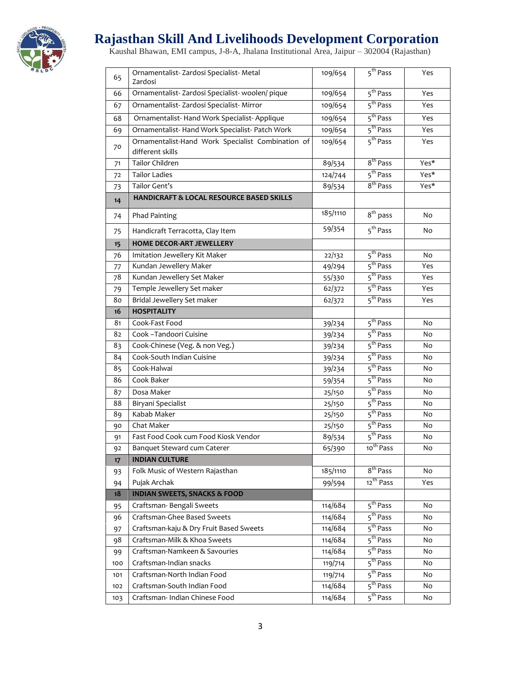

## **Rajasthan Skill And Livelihoods Development Corporation**

Kaushal Bhawan, EMI campus, J-8-A, Jhalana Institutional Area, Jaipur – 302004 (Rajasthan)

| 65                    | Ornamentalist-Zardosi Specialist-Metal<br>Zardosi    | 109/654  | $\overline{5^{th}}$ Pass                     | Yes  |
|-----------------------|------------------------------------------------------|----------|----------------------------------------------|------|
| 66                    | Ornamentalist-Zardosi Specialist-woolen/pique        | 109/654  | 5 <sup>th</sup> Pass                         | Yes  |
| 67                    | Ornamentalist- Zardosi Specialist- Mirror            | 109/654  | $\overline{5}^{\text{th}}$ Pass              | Yes  |
| 68                    | Ornamentalist-Hand Work Specialist-Applique          | 109/654  | 5 <sup>th</sup> Pass                         | Yes  |
| 69                    | Ornamentalist- Hand Work Specialist- Patch Work      | 109/654  | 5 <sup>th</sup> Pass                         | Yes  |
|                       | Ornamentalist-Hand Work Specialist Combination of    | 109/654  | 5 <sup>th</sup> Pass                         | Yes  |
| 70                    | different skills                                     |          |                                              |      |
| 71                    | Tailor Children                                      | 89/534   | 8 <sup>th</sup> Pass                         | Yes* |
| 72                    | <b>Tailor Ladies</b>                                 | 124/744  | 5 <sup>th</sup> Pass                         | Yes* |
| 73                    | Tailor Gent's                                        | 89/534   | 8 <sup>th</sup> Pass                         | Yes* |
| 14                    | <b>HANDICRAFT &amp; LOCAL RESOURCE BASED SKILLS</b>  |          |                                              |      |
| 74                    | Phad Painting                                        | 185/1110 | 8 <sup>th</sup> pass                         | No   |
| 75                    | Handicraft Terracotta, Clay Item                     | 59/354   | 5 <sup>th</sup> Pass                         | No   |
| 15                    | <b>HOME DECOR-ART JEWELLERY</b>                      |          |                                              |      |
| 76                    | Imitation Jewellery Kit Maker                        | 22/132   | 5 <sup>th</sup> Pass                         | No   |
| 77                    | Kundan Jewellery Maker                               | 49/294   | 5 <sup>th</sup> Pass                         | Yes  |
| 78                    | Kundan Jewellery Set Maker                           | 55/330   | 5 <sup>th</sup> Pass                         | Yes  |
| 79                    | Temple Jewellery Set maker                           | 62/372   | 5 <sup>th</sup> Pass                         | Yes  |
| 80                    | Bridal Jewellery Set maker                           | 62/372   | 5 <sup>th</sup> Pass                         | Yes  |
| 16                    | <b>HOSPITALITY</b>                                   |          |                                              |      |
| 81                    | Cook-Fast Food                                       | 39/234   | 5 <sup>th</sup> Pass                         | No   |
| 82                    | Cook -Tandoori Cuisine                               | 39/234   | 5 <sup>th</sup> Pass                         | No   |
| 83                    | Cook-Chinese (Veg. & non Veg.)                       | 39/234   | 5 <sup>th</sup> Pass                         | No   |
| 84                    | Cook-South Indian Cuisine                            | 39/234   | 5 <sup>th</sup> Pass                         | No   |
| 85                    | Cook-Halwai                                          | 39/234   | 5 <sup>th</sup> Pass                         | No   |
| 86                    | Cook Baker                                           | 59/354   | 5 <sup>th</sup> Pass                         | No   |
| 87                    | Dosa Maker                                           | 25/150   | 5 <sup>th</sup> Pass                         | No   |
| 88                    | Biryani Specialist                                   | 25/150   | 5 <sup>th</sup> Pass                         | No   |
| 89                    | Kabab Maker                                          | 25/150   | 5 <sup>th</sup> Pass                         | No   |
| 90                    | Chat Maker                                           | 25/150   | 5 <sup>th</sup> Pass<br>5 <sup>th</sup> Pass | No   |
| 91                    | Fast Food Cook cum Food Kiosk Vendor                 | 89/534   | 10 <sup>th</sup> Pass                        | No   |
| 92<br>17 <sup>2</sup> | Banquet Steward cum Caterer<br><b>INDIAN CULTURE</b> | 65/390   |                                              | No   |
| 93                    | Folk Music of Western Rajasthan                      | 185/1110 | 8 <sup>th</sup> Pass                         | No   |
| 94                    | Pujak Archak                                         | 99/594   | 12 <sup>th</sup> Pass                        | Yes  |
| 18                    | <b>INDIAN SWEETS, SNACKS &amp; FOOD</b>              |          |                                              |      |
| 95                    | Craftsman-Bengali Sweets                             | 114/684  | 5 <sup>th</sup> Pass                         | No   |
| 96                    | Craftsman-Ghee Based Sweets                          | 114/684  | 5 <sup>th</sup> Pass                         | No   |
| 97                    | Craftsman-kaju & Dry Fruit Based Sweets              | 114/684  | 5 <sup>th</sup> Pass                         | No   |
| 98                    | Craftsman-Milk & Khoa Sweets                         | 114/684  | $\overline{5}^{\text{th}}$ Pass              | No   |
| 99                    | Craftsman-Namkeen & Savouries                        | 114/684  | 5 <sup>th</sup> Pass                         | No   |
| 100                   | Craftsman-Indian snacks                              | 119/714  | 5 <sup>th</sup> Pass                         | No   |
| 101                   | Craftsman-North Indian Food                          | 119/714  | $\overline{5}^{\text{th}}$ Pass              | No   |
| 102                   | Craftsman-South Indian Food                          | 114/684  | 5 <sup>th</sup> Pass                         | No   |
| 103                   | Craftsman- Indian Chinese Food                       | 114/684  | $\overline{5}^{\text{th}}$ Pass              | No   |